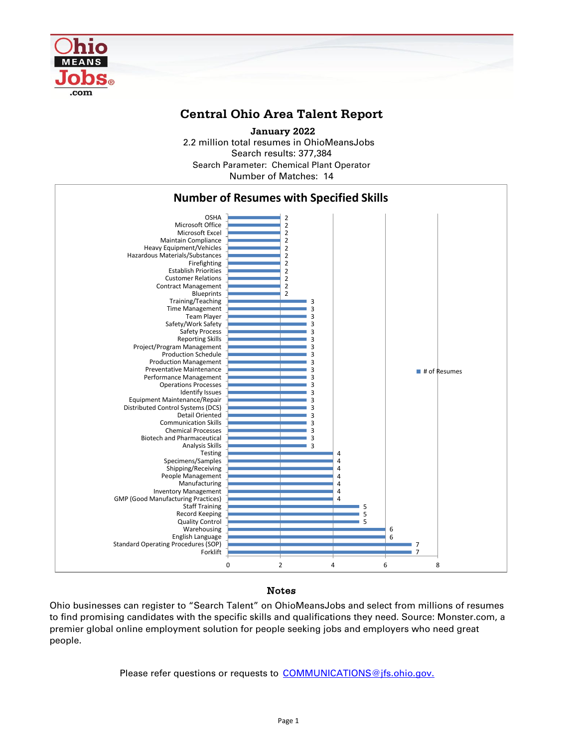

## **Central Ohio Area Talent Report**

2.2 million total resumes in OhioMeansJobs Search results: 377,384 Number of Matches: 14  **January 2022** Search Parameter: Chemical Plant Operator



## Notes

Ohio businesses can register to "Search Talent" on OhioMeansJobs and select from millions of resumes to find promising candidates with the specific skills and qualifications they need. Source: Monster.com, a premier global online employment solution for people seeking jobs and employers who need great people.

Please refer questions or requests to [COMMUNICATIONS@jfs.ohio.gov.](mailto:COMMUNICATIONS@jfs.ohio.gov.)